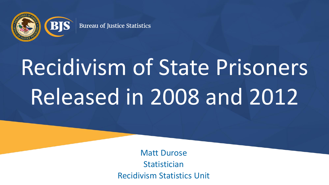

# Recidivism of State Prisoners Released in 2008 and 2012

Matt Durose **Statistician** Recidivism Statistics Unit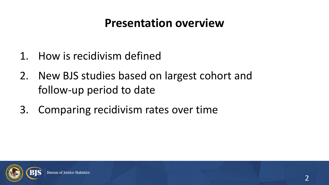#### **Presentation overview**

- 1. How is recidivism defined
- 2. New BJS studies based on largest cohort and follow-up period to date
- 3. Comparing recidivism rates over time

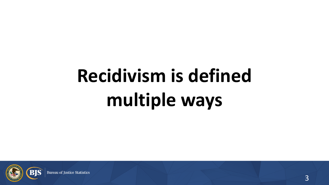## **Recidivism is defined multiple ways**

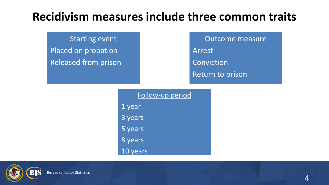#### **Recidivism measures include three common traits**

#### Starting event

Placed on probation Released from prison Outcome measure

Arrest

**Conviction** 

Return to prison

Follow-up period 1 year 3 years 5 years 8 years 10 years

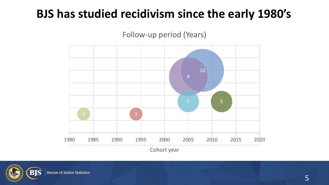#### **BJS has studied recidivism since the early 1980's**

Follow-up period (Years)



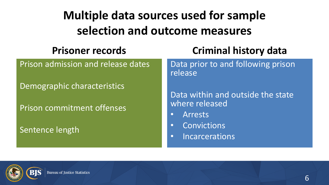### **Multiple data sources used for sample selection and outcome measures**

#### **Prisoner records**

Prison admission and release dates

Demographic characteristics

Prison commitment offenses

Sentence length

#### **Criminal history data**

Data prior to and following prison release

Data within and outside the state where released

- Arrests
- Convictions
- Incarcerations

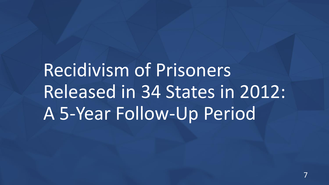### Recidivism of Prisoners Released in 34 States in 2012: A 5-Year Follow-Up Period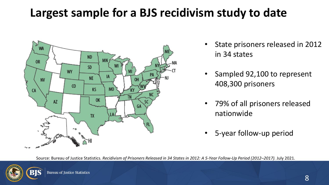#### **Largest sample for a BJS recidivism study to date**



- State prisoners released in 2012 in 34 states
- Sampled 92,100 to represent 408,300 prisoners
- 79% of all prisoners released nationwide
- 5-year follow-up period

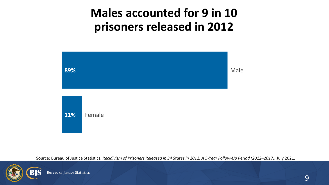#### **Males accounted for 9 in 10 prisoners released in 2012**



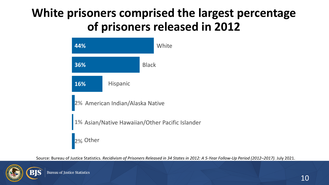#### **White prisoners comprised the largest percentage of prisoners released in 2012**



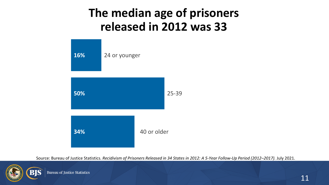#### **The median age of prisoners released in 2012 was 33**



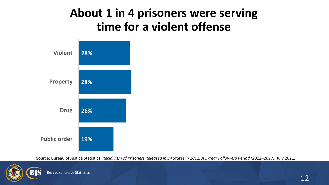#### **About 1 in 4 prisoners were serving time for a violent offense**



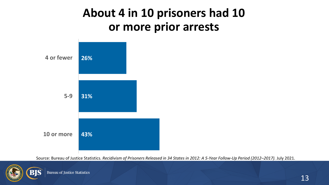#### **About 4 in 10 prisoners had 10 or more prior arrests**



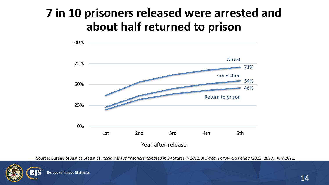#### **7 in 10 prisoners released were arrested and about half returned to prison**



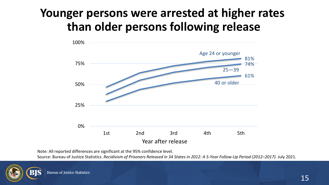#### **Younger persons were arrested at higher rates than older persons following release**



Note: All reported differences are significant at the 95% confidence level.

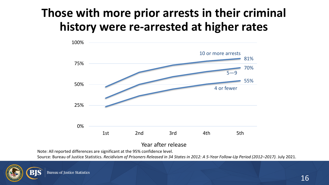#### **Those with more prior arrests in their criminal history were re-arrested at higher rates**



#### Year after release

Note: All reported differences are significant at the 95% confidence level.

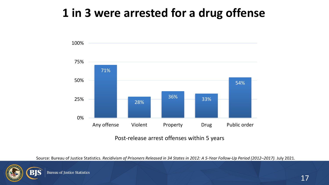#### **1 in 3 were arrested for a drug offense**



Post-release arrest offenses within 5 years

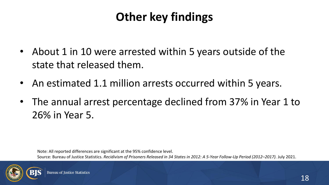### **Other key findings**

- About 1 in 10 were arrested within 5 years outside of the state that released them.
- An estimated 1.1 million arrests occurred within 5 years.
- The annual arrest percentage declined from 37% in Year 1 to 26% in Year 5.

Note: All reported differences are significant at the 95% confidence level. Source: Bureau of Justice Statistics. *Recidivism of Prisoners Released in 34 States in 2012: A 5-Year Follow-Up Period (2012–2017).* July 2021.

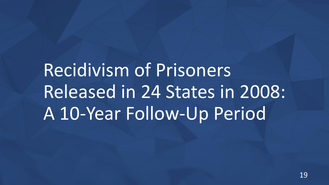## Recidivism of Prisoners Released in 24 States in 2008: A 10-Year Follow-Up Period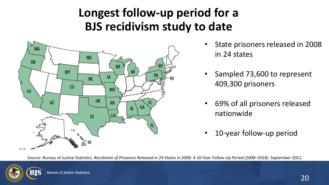#### **Longest follow-up period for a BJS recidivism study to date**



- State prisoners released in 2008 in 24 states
- Sampled 73,600 to represent 409,300 prisoners
- 69% of all prisoners released nationwide
- 10-year follow-up period

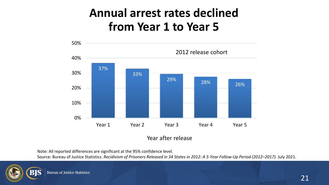#### **Annual arrest rates declined from Year 1 to Year 5**



Note: All reported differences are significant at the 95% confidence level.

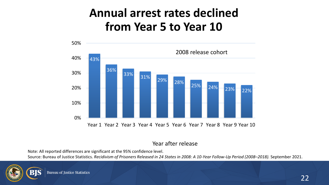#### **Annual arrest rates declined from Year 5 to Year 10**



#### Year after release

Note: All reported differences are significant at the 95% confidence level.

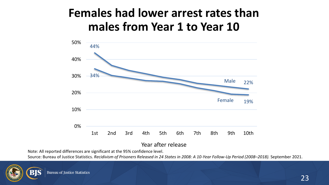#### **Females had lower arrest rates than males from Year 1 to Year 10**



Year after release

Note: All reported differences are significant at the 95% confidence level.

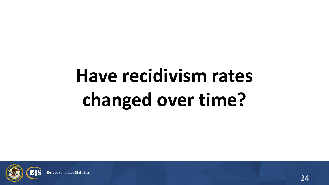## **Have recidivism rates changed over time?**

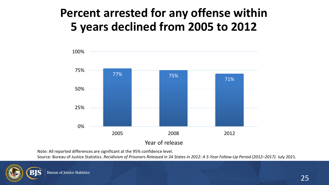#### **Percent arrested for any offense within 5 years declined from 2005 to 2012**



Note: All reported differences are significant at the 95% confidence level.

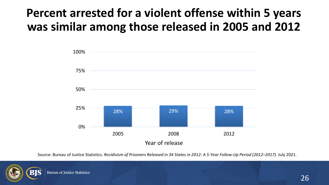#### **Percent arrested for a violent offense within 5 years was similar among those released in 2005 and 2012**



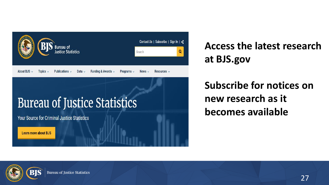

### **Bureau of Justice Statistics**

**Your Source for Criminal Justice Statistics** 

Learn more about BJS

**Access the latest research at [BJS.gov](https://bjs.ojp.gov/)**

#### **Subscribe for notices on new research as it becomes available**